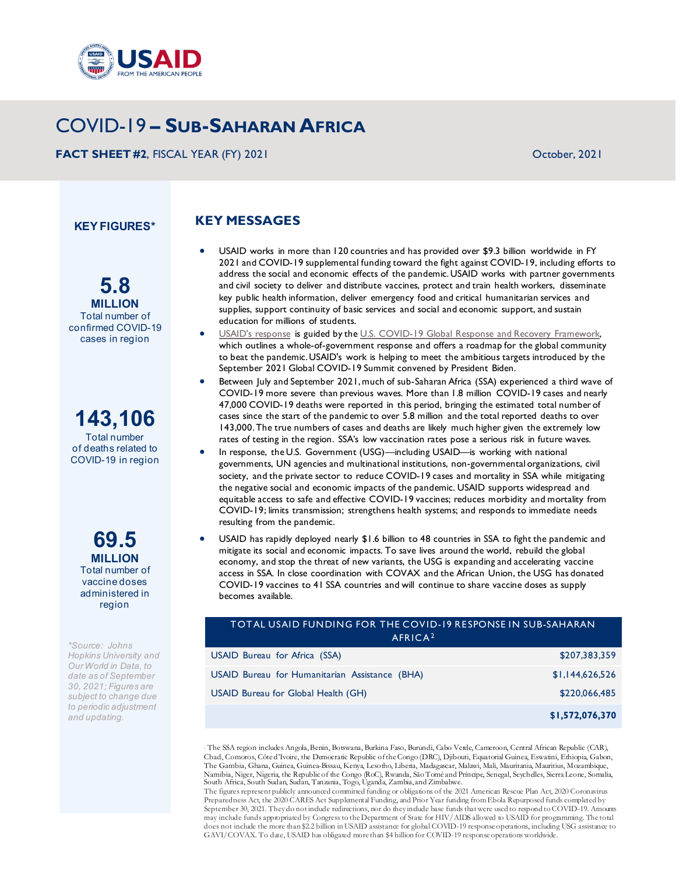

# COVID-19 **– SUB-SAHARAN AFRICA**

**FACT SHEET #2**, FISCAL YEAR (FY) 2021 CHARGED AT A SERVICE SERVICE SERVICE SERVICE SERVICE SERVICE SERVICE SERVICE SERVICE SERVICE SERVICE SERVICE SERVICE SERVICE SERVICE SERVICE SERVICE SERVICE SERVICE SERVICE SERVICE SE

**KEY FIGURES\***

## **KEY MESSAGES**

- USAID works in more than 120 countries and has provided over \$9.3 billion worldwide in FY 2021 and COVID-19 supplemental funding toward the fight against COVID-19, including efforts to address the social and economic effects of the pandemic. USAID works with partner governments and civil society to deliver and distribute vaccines, protect and train health workers, disseminate key public health information, deliver emergency food and critical humanitarian services and supplies, support continuity of basic services and social and economic support, and sustain education for millions of students.
- [USAID's response](https://www.usaid.gov/coronavirus/usaid-implementation-plan-covid-global-response-recovery-framework) is guided by the U.S. COVID-19 Global Response and Recovery Framework, which outlines a whole-of-government response and offers a roadmap for the global community to beat the pandemic. USAID's work is helping to meet the ambitious targets introduced by the September 2021 Global COVID-19 Summit convened by President Biden.
- Between July and September 2021, much of sub-Saharan Africa (SSA) experienced a third wave of COVID-19 more severe than previous waves. More than 1.8 million COVID-19 cases and nearly 47,000 COVID-19 deaths were reported in this period, bringing the estimated total number of cases since the start of the pandemic to over 5.8 million and the total reported deaths to over 143,000. The true numbers of cases and deaths are likely much higher given the extremely low rates of testing in the region. SSA's low vaccination rates pose a serious risk in future waves.
- In response, the U.S. Government (USG)—including USAID—is working with national governments, UN agencies and multinational institutions, non-governmental organizations, civil society, and the private sector to reduce COVID-19 cases and mortality in SSA while mitigating the negative social and economic impacts of the pandemic. USAID supports widespread and equitable access to safe and effective COVID-19 vaccines; reduces morbidity and mortality from COVID-19; limits transmission; strengthens health systems; and responds to immediate needs resulting from the pandemic.
- USAID has rapidly deployed nearly \$1.6 billion to 48 countries in SSA to fight the pandemic and mitigate its social and economic impacts. To save lives around the world, rebuild the global economy, and stop the threat of new variants, the USG is expanding and accelerating vaccine access in SSA. In close coordination with COVAX and the African Union, the USG has donated COVID-19 vaccines to 41 SSA countries and will continue to share vaccine doses as supply becomes available.

#### TOTAL USAID FUNDING FOR THE COVID-19 RESPONSE IN SUB-SAHARAN AFRICA<sup>[2](#page-0-0)</sup>

| USAID Bureau for Africa (SSA)                  | \$207,383,359   |
|------------------------------------------------|-----------------|
| USAID Bureau for Humanitarian Assistance (BHA) | \$1,144,626,526 |
| USAID Bureau for Global Health (GH)            | \$220,066,485   |
|                                                | \$1,572,076,370 |

<sup>1</sup> The SSA region includes Angola, Benin, Botswana, Burkina Faso, Burundi, Cabo Verde, Cameroon, Central African Republic (CAR), Chad, Comoros, Côte d'Ivoire, the Democratic Republic of the Congo (DRC), Djibouti, Equatorial Guinea, Eswatini, Ethiopia, Gabon, The Gambia, Ghana, Guinea, Guinea-Bissau, Kenya, Lesotho, Liberia, Madagascar, Malawi, Mali, Mauritania, Mauritius, Mozambique, Namibia, Niger, Nigeria, the Republic of the Congo (RoC), Rwanda, São Tomé and Príncipe, Senegal, Seychelles, Sierra Leone, Somalia,<br>South Africa, South Sudan, Sudan, Tanzania, Togo, Uganda, Zambia, and Zimbabwe.

The figures represent publicly announced committed funding or obligations of the 2021 American Rescue Plan Act, 2020 Coronavirus Preparedness Act, the 2020 CARES Act Supplemental Funding, and Prior Year funding from Ebola Repurposed funds completed by September 30, 2021. They do not include redirections, nor do they include base funds that were used to respond to COVID-19. Amounts may include funds appropriated by Congress to the Department of State for HIV/AIDS allowed to USAID for programming. The total does not include the more than \$2.2 billion in USAID assistance for global COVID-19 response operations, including USG assistance to GAVI/COVAX. To date, USAID has obligated more than \$4 billion for COVID-19 response operations worldwide.

**5.8 MILLION** Total number of confirmed COVID-19 cases in region

**143,106** Total number

of deaths related to COVID-19 in region

> **69.5 MILLION** Total number of vaccine doses administered in region

<span id="page-0-0"></span>*\*Source: Johns Hopkins University and Our World in Data, to date as of September 30, 2021; Figures are subject to change due to periodic adjustment and updating.*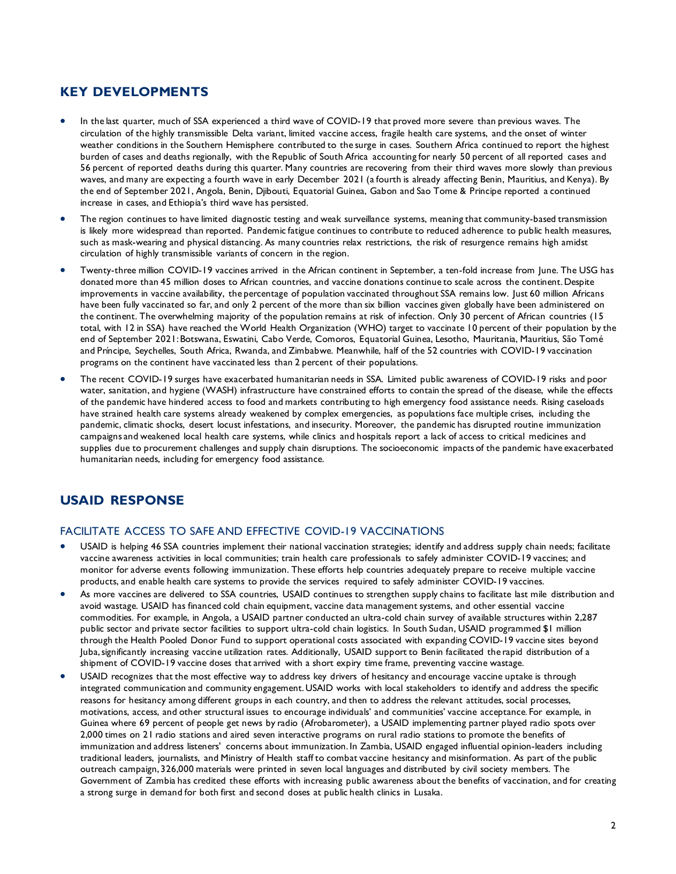## **KEY DEVELOPMENTS**

- In the last quarter, much of SSA experienced a third wave of COVID-19 that proved more severe than previous waves. The circulation of the highly transmissible Delta variant, limited vaccine access, fragile health care systems, and the onset of winter weather conditions in the Southern Hemisphere contributed to the surge in cases. Southern Africa continued to report the highest burden of cases and deaths regionally, with the Republic of South Africa accounting for nearly 50 percent of all reported cases and 56 percent of reported deaths during this quarter. Many countries are recovering from their third waves more slowly than previous waves, and many are expecting a fourth wave in early December 2021 (a fourth is already affecting Benin, Mauritius, and Kenya). By the end of September 2021, Angola, Benin, Djibouti, Equatorial Guinea, Gabon and Sao Tome & Principe reported a continued increase in cases, and Ethiopia's third wave has persisted.
- The region continues to have limited diagnostic testing and weak surveillance systems, meaning that community-based transmission is likely more widespread than reported. Pandemic fatigue continues to contribute to reduced adherence to public health measures, such as mask-wearing and physical distancing. As many countries relax restrictions, the risk of resurgence remains high amidst circulation of highly transmissible variants of concern in the region.
- Twenty-three million COVID-19 vaccines arrived in the African continent in September, a ten-fold increase from June. The USG has donated more than 45 million doses to African countries, and vaccine donations continue to scale across the continent. Despite improvements in vaccine availability, the percentage of population vaccinated throughout SSA remains low. Just 60 million Africans have been fully vaccinated so far, and only 2 percent of the more than six billion vaccines given globally have been administered on the continent. The overwhelming majority of the population remains at risk of infection. Only 30 percent of African countries (15 total, with 12 in SSA) have reached the World Health Organization (WHO) target to vaccinate 10 percent of their population by the end of September 2021: Botswana, Eswatini, Cabo Verde, Comoros, Equatorial Guinea, Lesotho, Mauritania, Mauritius, São Tomé and Príncipe, Seychelles, South Africa, Rwanda, and Zimbabwe. Meanwhile, half of the 52 countries with COVID-19 vaccination programs on the continent have vaccinated less than 2 percent of their populations.
- The recent COVID-19 surges have exacerbated humanitarian needs in SSA. Limited public awareness of COVID-19 risks and poor water, sanitation, and hygiene (WASH) infrastructure have constrained efforts to contain the spread of the disease, while the effects of the pandemic have hindered access to food and markets contributing to high emergency food assistance needs. Rising caseloads have strained health care systems already weakened by complex emergencies, as populations face multiple crises, including the pandemic, climatic shocks, desert locust infestations, and insecurity. Moreover, the pandemic has disrupted routine immunization campaigns and weakened local health care systems, while clinics and hospitals report a lack of access to critical medicines and supplies due to procurement challenges and supply chain disruptions. The socioeconomic impacts of the pandemic have exacerbated humanitarian needs, including for emergency food assistance.

# **USAID RESPONSE**

#### FACILITATE ACCESS TO SAFE AND EFFECTIVE COVID-19 VACCINATIONS

- USAID is helping 46 SSA countries implement their national vaccination strategies; identify and address supply chain needs; facilitate vaccine awareness activities in local communities; train health care professionals to safely administer COVID-19 vaccines; and monitor for adverse events following immunization. These efforts help countries adequately prepare to receive multiple vaccine products, and enable health care systems to provide the services required to safely administer COVID-19 vaccines.
- As more vaccines are delivered to SSA countries, USAID continues to strengthen supply chains to facilitate last mile distribution and avoid wastage. USAID has financed cold chain equipment, vaccine data management systems, and other essential vaccine commodities. For example, in Angola, a USAID partner conducted an ultra-cold chain survey of available structures within 2,287 public sector and private sector facilities to support ultra-cold chain logistics. In South Sudan, USAID programmed \$1 million through the Health Pooled Donor Fund to support operational costs associated with expanding COVID-19 vaccine sites beyond Juba, significantly increasing vaccine utilization rates. Additionally, USAID support to Benin facilitated the rapid distribution of a shipment of COVID-19 vaccine doses that arrived with a short expiry time frame, preventing vaccine wastage.
- USAID recognizes that the most effective way to address key drivers of hesitancy and encourage vaccine uptake is through integrated communication and community engagement. USAID works with local stakeholders to identify and address the specific reasons for hesitancy among different groups in each country, and then to address the relevant attitudes, social processes, motivations, access, and other structural issues to encourage individuals' and communities' vaccine acceptance. For example, in Guinea where 69 percent of people get news by radio (Afrobarometer), a USAID implementing partner played radio spots over 2,000 times on 21 radio stations and aired seven interactive programs on rural radio stations to promote the benefits of immunization and address listeners' concerns about immunization. In Zambia, USAID engaged influential opinion-leaders including traditional leaders, journalists, and Ministry of Health staff to combat vaccine hesitancy and misinformation. As part of the public outreach campaign, 326,000 materials were printed in seven local languages and distributed by civil society members. The Government of Zambia has credited these efforts with increasing public awareness about the benefits of vaccination, and for creating a strong surge in demand for both first and second doses at public health clinics in Lusaka.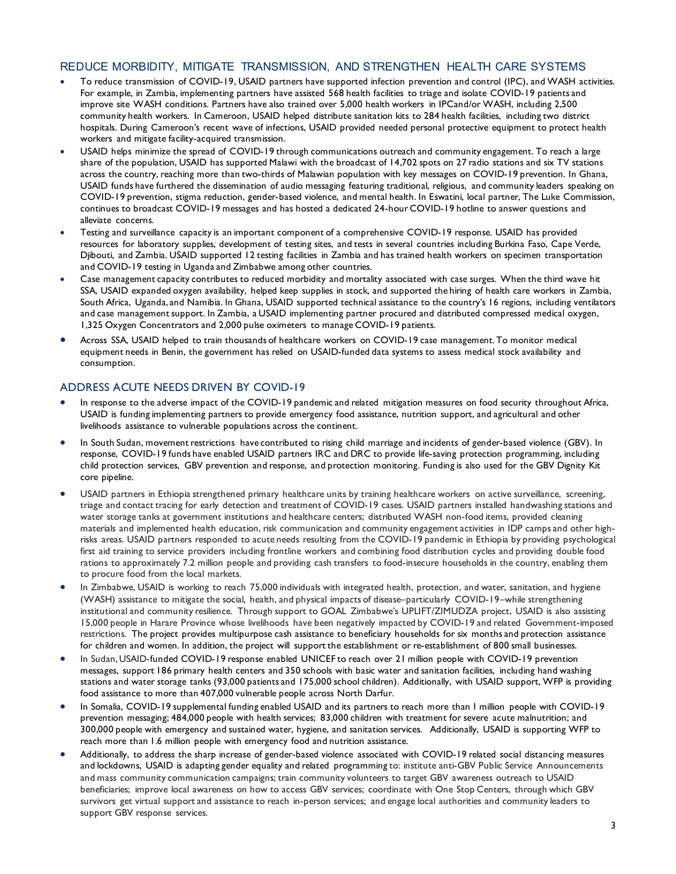### REDUCE MORBIDITY, MITIGATE TRANSMISSION, AND STRENGTHEN HEALTH CARE SYSTEMS

- To reduce transmission of COVID-19, USAID partners have supported infection prevention and control (IPC), and WASH activities. For example, in Zambia, implementing partners have assisted 568 health facilities to triage and isolate COVID-19 patients and improve site WASH conditions. Partners have also trained over 5,000 health workers in IPCand/or WASH, including 2,500 community health workers. In Cameroon, USAID helped distribute sanitation kits to 284 health facilities, including two district hospitals. During Cameroon's recent wave of infections, USAID provided needed personal protective equipment to protect health workers and mitigate facility-acquired transmission.
- USAID helps minimize the spread of COVID-19 through communications outreach and community engagement. To reach a large share of the population, USAID has supported Malawi with the broadcast of 14,702 spots on 27 radio stations and six TV stations across the country, reaching more than two-thirds of Malawian population with key messages on COVID-19 prevention. In Ghana, USAID funds have furthered the dissemination of audio messaging featuring traditional, religious, and community leaders speaking on COVID-19 prevention, stigma reduction, gender-based violence, and mental health. In Eswatini, local partner, The Luke Commission, continues to broadcast COVID-19 messages and has hosted a dedicated 24-hour COVID-19 hotline to answer questions and alleviate concerns.
- Testing and surveillance capacity is an important component of a comprehensive COVID-19 response. USAID has provided resources for laboratory supplies, development of testing sites, and tests in several countries including Burkina Faso, Cape Verde, Djibouti, and Zambia. USAID supported 12 testing facilities in Zambia and has trained health workers on specimen transportation and COVID-19 testing in Uganda and Zimbabwe among other countries.
- Case management capacity contributes to reduced morbidity and mortality associated with case surges. When the third wave hit SSA, USAID expanded oxygen availability, helped keep supplies in stock, and supported the hiring of health care workers in Zambia, South Africa, Uganda, and Namibia. In Ghana, USAID supported technical assistance to the country's 16 regions, including ventilators and case management support. In Zambia, a USAID implementing partner procured and distributed compressed medical oxygen, 1,325 Oxygen Concentrators and 2,000 pulse oximeters to manage COVID-19 patients.
- Across SSA, USAID helped to train thousands of healthcare workers on COVID-19 case management. To monitor medical equipment needs in Benin, the government has relied on USAID-funded data systems to assess medical stock availability and consumption.

#### ADDRESS ACUTE NEEDS DRIVEN BY COVID-19

- In response to the adverse impact of the COVID-19 pandemic and related mitigation measures on food security throughout Africa, USAID is funding implementing partners to provide emergency food assistance, nutrition support, and agricultural and other livelihoods assistance to vulnerable populations across the continent.
- In South Sudan, movement restrictions have contributed to rising child marriage and incidents of gender-based violence (GBV). In response, COVID-19 funds have enabled USAID partners IRC and DRC to provide life-saving protection programming, including child protection services, GBV prevention and response, and protection monitoring. Funding is also used for the GBV Dignity Kit core pipeline.
- USAID partners in Ethiopia strengthened primary healthcare units by training healthcare workers on active surveillance, screening, triage and contact tracing for early detection and treatment of COVID-19 cases. USAID partners installed handwashing stations and water storage tanks at government institutions and healthcare centers; distributed WASH non-food items, provided cleaning materials and implemented health education, risk communication and community engagement activities in IDP camps and other highrisks areas. USAID partners responded to acute needs resulting from the COVID-19 pandemic in Ethiopia by providing psychological first aid training to service providers including frontline workers and combining food distribution cycles and providing double food rations to approximately 7.2 million people and providing cash transfers to food-insecure households in the country, enabling them to procure food from the local markets.
- In Zimbabwe, USAID is working to reach 75,000 individuals with integrated health, protection, and water, sanitation, and hygiene (WASH) assistance to mitigate the social, health, and physical impacts of disease–particularly COVID-19–while strengthening institutional and community resilience. Through support to GOAL Zimbabwe's UPLIFT/ZIMUDZA project, USAID is also assisting 15,000 people in Harare Province whose livelihoods have been negatively impacted by COVID-19 and related Government-imposed restrictions. The project provides multipurpose cash assistance to beneficiary households for six months and protection assistance for children and women. In addition, the project will support the establishment or re-establishment of 800 small businesses.
- In Sudan, USAID-funded COVID-19 response enabled UNICEF to reach over 21 million people with COVID-19 prevention messages, support 186 primary health centers and 350 schools with basic water and sanitation facilities, including hand washing stations and water storage tanks (93,000 patients and 175,000 school children). Additionally, with USAID support, WFP is providing food assistance to more than 407,000 vulnerable people across North Darfur.
- In Somalia, COVID-19 supplemental funding enabled USAID and its partners to reach more than 1 million people with COVID-19 prevention messaging; 484,000 people with health services; 83,000 children with treatment for severe acute malnutrition; and 300,000 people with emergency and sustained water, hygiene, and sanitation services. Additionally, USAID is supporting WFP to reach more than 1.6 million people with emergency food and nutrition assistance.
- Additionally, to address the sharp increase of gender-based violence associated with COVID-19 related social distancing measures and lockdowns, USAID is adapting gender equality and related programming to: institute anti-GBV Public Service Announcements and mass community communication campaigns; train community volunteers to target GBV awareness outreach to USAID beneficiaries; improve local awareness on how to access GBV services; coordinate with One Stop Centers, through which GBV survivors get virtual support and assistance to reach in-person services; and engage local authorities and community leaders to support GBV response services.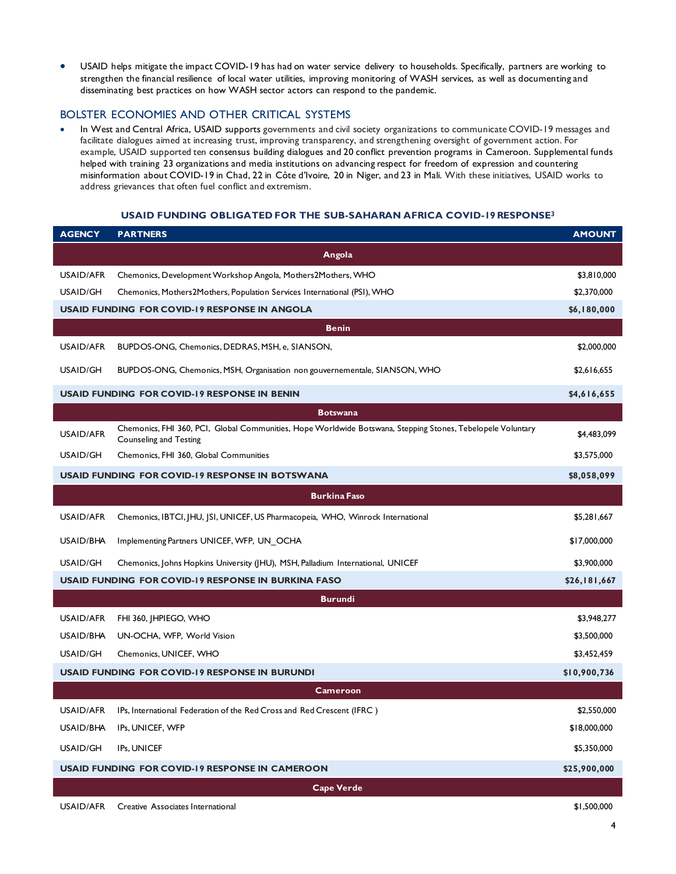• USAID helps mitigate the impact COVID-19 has had on water service delivery to households. Specifically, partners are working to strengthen the financial resilience of local water utilities, improving monitoring of WASH services, as well as documenting and disseminating best practices on how WASH sector actors can respond to the pandemic.

#### BOLSTER ECONOMIES AND OTHER CRITICAL SYSTEMS

• In West and Central Africa, USAID supports governments and civil society organizations to communicate COVID-19 messages and facilitate dialogues aimed at increasing trust, improving transparency, and strengthening oversight of government action. For example, USAID supported ten consensus building dialogues and 20 conflict prevention programs in Cameroon. Supplemental funds helped with training 23 organizations and media institutions on advancing respect for freedom of expression and countering misinformation about COVID-19 in Chad, 22 in Côte d'Ivoire, 20 in Niger, and 23 in Mali. With these initiatives, USAID works to address grievances that often fuel conflict and extremism.

#### **USAID FUNDING OBLIGATED FOR THE SUB-SAHARAN AFRICA COVID-19 RESPONSE3**

| <b>AGENCY</b>                                                   | <b>PARTNERS</b>                                                                                                                       | <b>AMOUNT</b> |
|-----------------------------------------------------------------|---------------------------------------------------------------------------------------------------------------------------------------|---------------|
| Angola                                                          |                                                                                                                                       |               |
| <b>USAID/AFR</b>                                                | Chemonics, Development Workshop Angola, Mothers2Mothers, WHO                                                                          | \$3,810,000   |
| USAID/GH                                                        | Chemonics, Mothers2Mothers, Population Services International (PSI), WHO                                                              | \$2,370,000   |
|                                                                 | <b>USAID FUNDING FOR COVID-19 RESPONSE IN ANGOLA</b>                                                                                  | \$6,180,000   |
|                                                                 | <b>Benin</b>                                                                                                                          |               |
| USAID/AFR                                                       | BUPDOS-ONG, Chemonics, DEDRAS, MSH, e, SIANSON,                                                                                       | \$2,000,000   |
| USAID/GH                                                        | BUPDOS-ONG, Chemonics, MSH, Organisation non gouvernementale, SIANSON, WHO                                                            | \$2,616,655   |
|                                                                 | <b>USAID FUNDING FOR COVID-19 RESPONSE IN BENIN</b>                                                                                   | \$4,616,655   |
|                                                                 | <b>Botswana</b>                                                                                                                       |               |
| USAID/AFR                                                       | Chemonics, FHI 360, PCI, Global Communities, Hope Worldwide Botswana, Stepping Stones, Tebelopele Voluntary<br>Counseling and Testing | \$4,483,099   |
| USAID/GH                                                        | Chemonics, FHI 360, Global Communities                                                                                                | \$3,575,000   |
|                                                                 | <b>USAID FUNDING FOR COVID-19 RESPONSE IN BOTSWANA</b>                                                                                | \$8,058,099   |
|                                                                 | <b>Burkina Faso</b>                                                                                                                   |               |
| USAID/AFR                                                       | Chemonics, IBTCI, JHU, JSI, UNICEF, US Pharmacopeia, WHO, Winrock International                                                       | \$5,281,667   |
| USAID/BHA                                                       | Implementing Partners UNICEF, WFP, UN OCHA                                                                                            | \$17,000,000  |
| USAID/GH                                                        | Chemonics, Johns Hopkins University (JHU), MSH, Palladium International, UNICEF                                                       | \$3,900,000   |
|                                                                 | USAID FUNDING FOR COVID-19 RESPONSE IN BURKINA FASO                                                                                   | \$26,181,667  |
| <b>Burundi</b>                                                  |                                                                                                                                       |               |
| USAID/AFR                                                       | FHI 360, JHPIEGO, WHO                                                                                                                 | \$3,948,277   |
| USAID/BHA                                                       | UN-OCHA, WFP, World Vision                                                                                                            | \$3,500,000   |
| USAID/GH                                                        | Chemonics, UNICEF, WHO                                                                                                                | \$3,452,459   |
|                                                                 | USAID FUNDING FOR COVID-19 RESPONSE IN BURUNDI                                                                                        | \$10,900,736  |
|                                                                 | <b>Cameroon</b>                                                                                                                       |               |
| USAID/AFR                                                       | IPs, International Federation of the Red Cross and Red Crescent (IFRC)                                                                | \$2,550,000   |
| USAID/BHA                                                       | IPs, UNICEF, WFP                                                                                                                      | \$18,000,000  |
| USAID/GH                                                        | IPs, UNICEF                                                                                                                           | \$5,350,000   |
| USAID FUNDING FOR COVID-19 RESPONSE IN CAMEROON<br>\$25,900,000 |                                                                                                                                       |               |
|                                                                 | <b>Cape Verde</b>                                                                                                                     |               |
| USAID/AFR                                                       | Creative Associates International                                                                                                     | \$1,500,000   |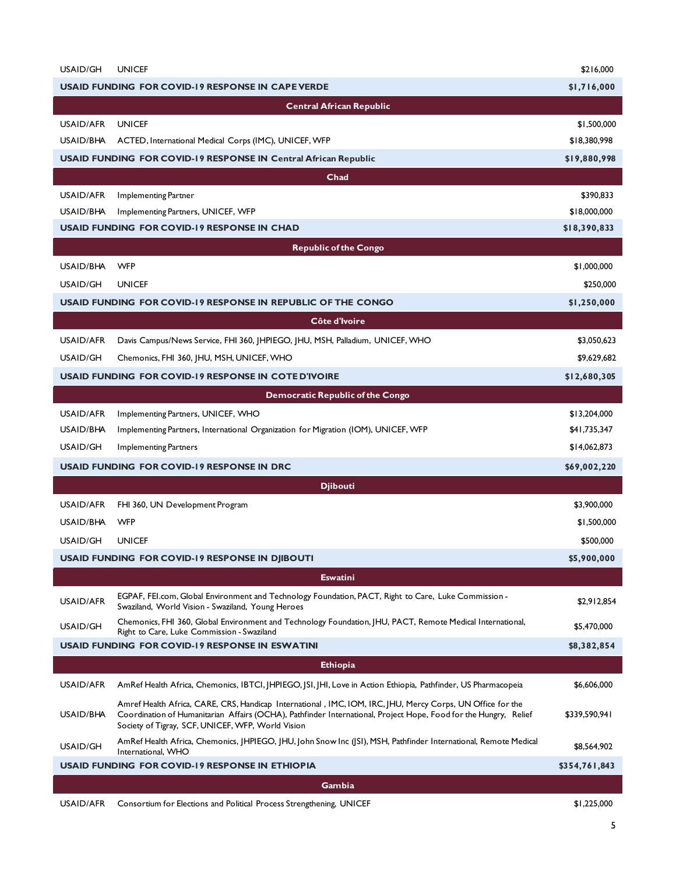| USAID/GH               | <b>UNICEF</b>                                                                                                                                                                                                                                                                       | \$216,000                    |
|------------------------|-------------------------------------------------------------------------------------------------------------------------------------------------------------------------------------------------------------------------------------------------------------------------------------|------------------------------|
|                        | <b>USAID FUNDING FOR COVID-19 RESPONSE IN CAPE VERDE</b>                                                                                                                                                                                                                            | \$1,716,000                  |
|                        | <b>Central African Republic</b>                                                                                                                                                                                                                                                     |                              |
| USAID/AFR              | <b>UNICEF</b>                                                                                                                                                                                                                                                                       | \$1,500,000                  |
| USAID/BHA              | ACTED, International Medical Corps (IMC), UNICEF, WFP                                                                                                                                                                                                                               | \$18,380,998                 |
|                        | <b>USAID FUNDING FOR COVID-19 RESPONSE IN Central African Republic</b>                                                                                                                                                                                                              | \$19,880,998                 |
|                        | Chad                                                                                                                                                                                                                                                                                |                              |
| USAID/AFR              | Implementing Partner                                                                                                                                                                                                                                                                | \$390,833                    |
| USAID/BHA              | Implementing Partners, UNICEF, WFP                                                                                                                                                                                                                                                  | \$18,000,000                 |
|                        | <b>USAID FUNDING FOR COVID-19 RESPONSE IN CHAD</b>                                                                                                                                                                                                                                  | \$18,390,833                 |
|                        | <b>Republic of the Congo</b>                                                                                                                                                                                                                                                        |                              |
| USAID/BHA              | <b>WFP</b>                                                                                                                                                                                                                                                                          | \$1,000,000                  |
| USAID/GH               | <b>UNICEF</b>                                                                                                                                                                                                                                                                       | \$250,000                    |
|                        | USAID FUNDING FOR COVID-19 RESPONSE IN REPUBLIC OF THE CONGO                                                                                                                                                                                                                        | \$1,250,000                  |
|                        | Côte d'Ivoire                                                                                                                                                                                                                                                                       |                              |
| USAID/AFR              | Davis Campus/News Service, FHI 360, JHPIEGO, JHU, MSH, Palladium, UNICEF, WHO                                                                                                                                                                                                       | \$3,050,623                  |
| USAID/GH               | Chemonics, FHI 360, JHU, MSH, UNICEF, WHO                                                                                                                                                                                                                                           | \$9,629,682                  |
|                        | <b>USAID FUNDING FOR COVID-19 RESPONSE IN COTE D'IVOIRE</b>                                                                                                                                                                                                                         | \$12,680,305                 |
|                        |                                                                                                                                                                                                                                                                                     |                              |
|                        | Democratic Republic of the Congo                                                                                                                                                                                                                                                    |                              |
| USAID/AFR<br>USAID/BHA | Implementing Partners, UNICEF, WHO<br>Implementing Partners, International Organization for Migration (IOM), UNICEF, WFP                                                                                                                                                            | \$13,204,000<br>\$41,735,347 |
| USAID/GH               | <b>Implementing Partners</b>                                                                                                                                                                                                                                                        | \$14,062,873                 |
|                        |                                                                                                                                                                                                                                                                                     |                              |
|                        | <b>USAID FUNDING FOR COVID-19 RESPONSE IN DRC</b>                                                                                                                                                                                                                                   | \$69,002,220                 |
|                        | <b>Djibouti</b>                                                                                                                                                                                                                                                                     |                              |
| USAID/AFR              | FHI 360, UN Development Program                                                                                                                                                                                                                                                     | \$3,900,000                  |
| USAID/BHA              | WFP                                                                                                                                                                                                                                                                                 | \$1,500,000                  |
| USAID/GH               | <b>UNICEF</b>                                                                                                                                                                                                                                                                       | \$500,000                    |
|                        | USAID FUNDING FOR COVID-19 RESPONSE IN DJIBOUTI                                                                                                                                                                                                                                     | \$5,900,000                  |
|                        | <b>Eswatini</b>                                                                                                                                                                                                                                                                     |                              |
| <b>USAID/AFR</b>       | EGPAF, FEI.com, Global Environment and Technology Foundation, PACT, Right to Care, Luke Commission -<br>Swaziland, World Vision - Swaziland, Young Heroes                                                                                                                           | \$2,912,854                  |
| USAID/GH               | Chemonics, FHI 360, Global Environment and Technology Foundation, JHU, PACT, Remote Medical International,<br>Right to Care, Luke Commission - Swaziland                                                                                                                            | \$5,470,000                  |
|                        | <b>USAID FUNDING FOR COVID-19 RESPONSE IN ESWATINI</b>                                                                                                                                                                                                                              | \$8,382,854                  |
|                        | <b>Ethiopia</b>                                                                                                                                                                                                                                                                     |                              |
| USAID/AFR              | AmRef Health Africa, Chemonics, IBTCI, JHPIEGO, JSI, JHI, Love in Action Ethiopia, Pathfinder, US Pharmacopeia                                                                                                                                                                      | \$6,606,000                  |
| USAID/BHA              | Amref Health Africa, CARE, CRS, Handicap International, IMC, IOM, IRC, JHU, Mercy Corps, UN Office for the<br>Coordination of Humanitarian Affairs (OCHA), Pathfinder International, Project Hope, Food for the Hungry, Relief<br>Society of Tigray, SCF, UNICEF, WFP, World Vision | \$339,590,941                |
| USAID/GH               | AmRef Health Africa, Chemonics, JHPIEGO, JHU, John Snow Inc (JSI), MSH, Pathfinder International, Remote Medical<br>International, WHO                                                                                                                                              | \$8,564,902                  |
|                        | USAID FUNDING FOR COVID-19 RESPONSE IN ETHIOPIA                                                                                                                                                                                                                                     | \$354,761,843                |
|                        | Gambia                                                                                                                                                                                                                                                                              |                              |
| USAID/AFR              | Consortium for Elections and Political Process Strengthening, UNICEF                                                                                                                                                                                                                | \$1,225,000                  |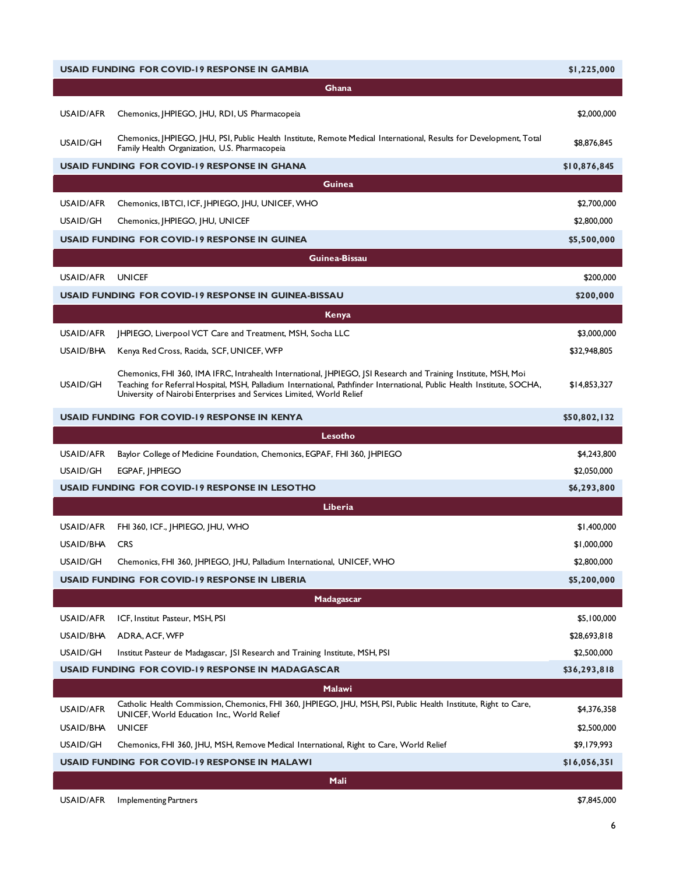|                  | <b>USAID FUNDING FOR COVID-19 RESPONSE IN GAMBIA</b>                                                                                                                                                                                                                                                               | \$1,225,000  |
|------------------|--------------------------------------------------------------------------------------------------------------------------------------------------------------------------------------------------------------------------------------------------------------------------------------------------------------------|--------------|
|                  | Ghana                                                                                                                                                                                                                                                                                                              |              |
| USAID/AFR        | Chemonics, JHPIEGO, JHU, RDI, US Pharmacopeia                                                                                                                                                                                                                                                                      | \$2,000,000  |
| USAID/GH         | Chemonics, JHPIEGO, JHU, PSI, Public Health Institute, Remote Medical International, Results for Development, Total<br>Family Health Organization, U.S. Pharmacopeia                                                                                                                                               | \$8,876,845  |
|                  | <b>USAID FUNDING FOR COVID-19 RESPONSE IN GHANA</b>                                                                                                                                                                                                                                                                | \$10,876,845 |
|                  | Guinea                                                                                                                                                                                                                                                                                                             |              |
| USAID/AFR        | Chemonics, IBTCI, ICF, JHPIEGO, JHU, UNICEF, WHO                                                                                                                                                                                                                                                                   | \$2,700,000  |
| USAID/GH         | Chemonics, JHPIEGO, JHU, UNICEF                                                                                                                                                                                                                                                                                    | \$2,800,000  |
|                  | <b>USAID FUNDING FOR COVID-19 RESPONSE IN GUINEA</b>                                                                                                                                                                                                                                                               | \$5,500,000  |
|                  | <b>Guinea-Bissau</b>                                                                                                                                                                                                                                                                                               |              |
| USAID/AFR        | <b>UNICEF</b>                                                                                                                                                                                                                                                                                                      | \$200,000    |
|                  | USAID FUNDING FOR COVID-19 RESPONSE IN GUINEA-BISSAU                                                                                                                                                                                                                                                               | \$200,000    |
|                  | Kenya                                                                                                                                                                                                                                                                                                              |              |
| USAID/AFR        | JHPIEGO, Liverpool VCT Care and Treatment, MSH, Socha LLC                                                                                                                                                                                                                                                          | \$3,000,000  |
| USAID/BHA        | Kenya Red Cross, Racida, SCF, UNICEF, WFP                                                                                                                                                                                                                                                                          | \$32,948,805 |
| USAID/GH         | Chemonics, FHI 360, IMA IFRC, Intrahealth International, JHPIEGO, JSI Research and Training Institute, MSH, Moi<br>Teaching for Referral Hospital, MSH, Palladium International, Pathfinder International, Public Health Institute, SOCHA,<br>University of Nairobi Enterprises and Services Limited, World Relief | \$14,853,327 |
|                  | <b>USAID FUNDING FOR COVID-19 RESPONSE IN KENYA</b>                                                                                                                                                                                                                                                                | \$50,802,132 |
|                  | Lesotho                                                                                                                                                                                                                                                                                                            |              |
| USAID/AFR        | Baylor College of Medicine Foundation, Chemonics, EGPAF, FHI 360, JHPIEGO                                                                                                                                                                                                                                          | \$4,243,800  |
| USAID/GH         | EGPAF, IHPIEGO                                                                                                                                                                                                                                                                                                     | \$2,050,000  |
|                  | <b>USAID FUNDING FOR COVID-19 RESPONSE IN LESOTHO</b>                                                                                                                                                                                                                                                              | \$6,293,800  |
|                  | Liberia                                                                                                                                                                                                                                                                                                            |              |
| USAID/AFR        | FHI 360, ICF., JHPIEGO, JHU, WHO                                                                                                                                                                                                                                                                                   | \$1,400,000  |
| USAID/BHA        | <b>CRS</b>                                                                                                                                                                                                                                                                                                         | \$1,000,000  |
| USAID/GH         | Chemonics, FHI 360, JHPIEGO, JHU, Palladium International, UNICEF, WHO                                                                                                                                                                                                                                             | \$2,800,000  |
|                  | <b>USAID FUNDING FOR COVID-19 RESPONSE IN LIBERIA</b>                                                                                                                                                                                                                                                              | \$5,200,000  |
|                  | Madagascar                                                                                                                                                                                                                                                                                                         |              |
| USAID/AFR        | ICF, Institut Pasteur, MSH, PSI                                                                                                                                                                                                                                                                                    | \$5,100,000  |
| USAID/BHA        | ADRA, ACF, WFP                                                                                                                                                                                                                                                                                                     | \$28,693,818 |
| USAID/GH         | Institut Pasteur de Madagascar, JSI Research and Training Institute, MSH, PSI                                                                                                                                                                                                                                      | \$2,500,000  |
|                  | <b>USAID FUNDING FOR COVID-19 RESPONSE IN MADAGASCAR</b>                                                                                                                                                                                                                                                           | \$36,293,818 |
|                  | <b>Malawi</b>                                                                                                                                                                                                                                                                                                      |              |
| <b>USAID/AFR</b> | Catholic Health Commission, Chemonics, FHI 360, JHPIEGO, JHU, MSH, PSI, Public Health Institute, Right to Care,<br>UNICEF, World Education Inc., World Relief                                                                                                                                                      | \$4,376,358  |
| USAID/BHA        | <b>UNICEF</b>                                                                                                                                                                                                                                                                                                      | \$2,500,000  |
| USAID/GH         | Chemonics, FHI 360, JHU, MSH, Remove Medical International, Right to Care, World Relief                                                                                                                                                                                                                            | \$9,179,993  |
|                  | USAID FUNDING FOR COVID-19 RESPONSE IN MALAWI                                                                                                                                                                                                                                                                      | \$16,056,351 |
|                  | Mali                                                                                                                                                                                                                                                                                                               |              |
| USAID/AFR        | <b>Implementing Partners</b>                                                                                                                                                                                                                                                                                       | \$7,845,000  |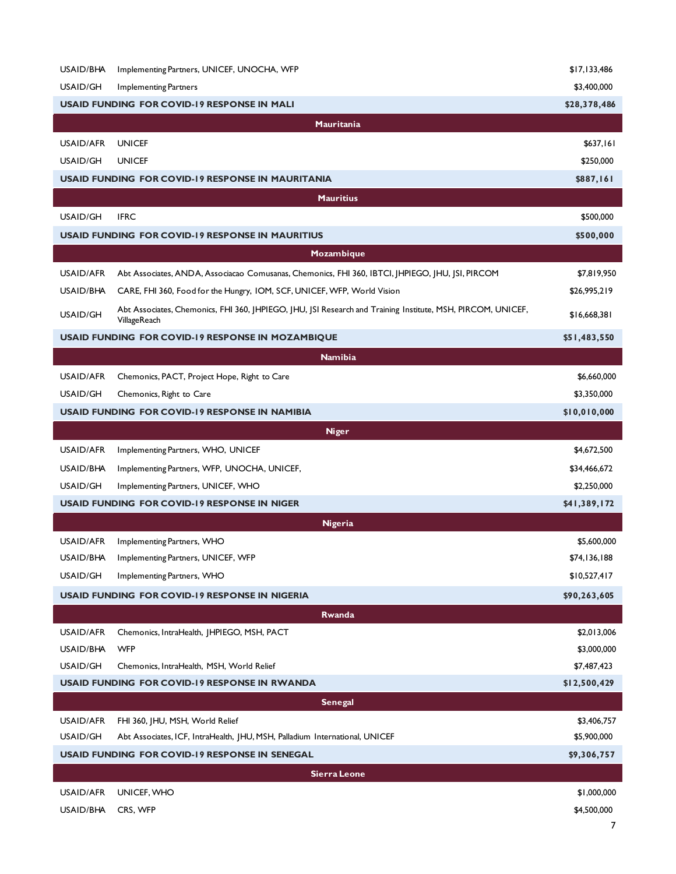| USAID/BHA       | Implementing Partners, UNICEF, UNOCHA, WFP                                                                  | \$17,133,486 |
|-----------------|-------------------------------------------------------------------------------------------------------------|--------------|
| USAID/GH        | Implementing Partners                                                                                       | \$3,400,000  |
|                 | <b>USAID FUNDING FOR COVID-19 RESPONSE IN MALI</b>                                                          | \$28,378,486 |
|                 | Mauritania                                                                                                  |              |
| USAID/AFR       | <b>UNICEF</b>                                                                                               | \$637,161    |
| USAID/GH        | <b>UNICEF</b>                                                                                               | \$250,000    |
|                 | <b>USAID FUNDING FOR COVID-19 RESPONSE IN MAURITANIA</b>                                                    | \$887,161    |
|                 | <b>Mauritius</b>                                                                                            |              |
| USAID/GH        | <b>IFRC</b>                                                                                                 | \$500,000    |
|                 | USAID FUNDING FOR COVID-19 RESPONSE IN MAURITIUS                                                            | \$500,000    |
|                 | Mozambique                                                                                                  |              |
| USAID/AFR       | Abt Associates, ANDA, Associacao Comusanas, Chemonics, FHI 360, IBTCI, JHPIEGO, JHU, JSI, PIRCOM            | \$7,819,950  |
| USAID/BHA       | CARE, FHI 360, Food for the Hungry, IOM, SCF, UNICEF, WFP, World Vision                                     | \$26,995,219 |
|                 | Abt Associates, Chemonics, FHI 360, JHPIEGO, JHU, JSI Research and Training Institute, MSH, PIRCOM, UNICEF, |              |
| <b>USAID/GH</b> | VillageReach                                                                                                | \$16,668,381 |
|                 | <b>USAID FUNDING FOR COVID-19 RESPONSE IN MOZAMBIQUE</b>                                                    | \$51,483,550 |
|                 | <b>Namibia</b>                                                                                              |              |
| USAID/AFR       | Chemonics, PACT, Project Hope, Right to Care                                                                | \$6,660,000  |
| USAID/GH        | Chemonics, Right to Care                                                                                    | \$3,350,000  |
|                 | <b>USAID FUNDING FOR COVID-19 RESPONSE IN NAMIBIA</b>                                                       | \$10,010,000 |
|                 | <b>Niger</b>                                                                                                |              |
| USAID/AFR       | Implementing Partners, WHO, UNICEF                                                                          | \$4,672,500  |
| USAID/BHA       | Implementing Partners, WFP, UNOCHA, UNICEF,                                                                 | \$34,466,672 |
| USAID/GH        | Implementing Partners, UNICEF, WHO                                                                          | \$2,250,000  |
|                 | <b>USAID FUNDING FOR COVID-19 RESPONSE IN NIGER</b>                                                         | \$41,389,172 |
|                 | Nigeria                                                                                                     |              |
| USAID/AFR       | Implementing Partners, WHO                                                                                  | \$5,600,000  |
| USAID/BHA       | Implementing Partners, UNICEF, WFP                                                                          | \$74,136,188 |
| USAID/GH        | Implementing Partners, WHO                                                                                  | \$10,527,417 |
|                 | <b>USAID FUNDING FOR COVID-19 RESPONSE IN NIGERIA</b>                                                       | \$90,263,605 |
|                 | Rwanda                                                                                                      |              |
| USAID/AFR       | Chemonics, IntraHealth, JHPIEGO, MSH, PACT                                                                  | \$2,013,006  |
| USAID/BHA       | <b>WFP</b>                                                                                                  | \$3,000,000  |
| USAID/GH        | Chemonics, IntraHealth, MSH, World Relief                                                                   | \$7,487,423  |
|                 | <b>USAID FUNDING FOR COVID-19 RESPONSE IN RWANDA</b>                                                        | \$12,500,429 |
|                 | <b>Senegal</b>                                                                                              |              |
| USAID/AFR       | FHI 360, JHU, MSH, World Relief                                                                             | \$3,406,757  |
| USAID/GH        | Abt Associates, ICF, IntraHealth, JHU, MSH, Palladium International, UNICEF                                 | \$5,900,000  |
|                 | <b>USAID FUNDING FOR COVID-19 RESPONSE IN SENEGAL</b>                                                       | \$9,306,757  |
|                 | <b>Sierra Leone</b>                                                                                         |              |
| USAID/AFR       | UNICEF, WHO                                                                                                 | \$1,000,000  |
| USAID/BHA       | CRS, WFP                                                                                                    | \$4,500,000  |
|                 |                                                                                                             |              |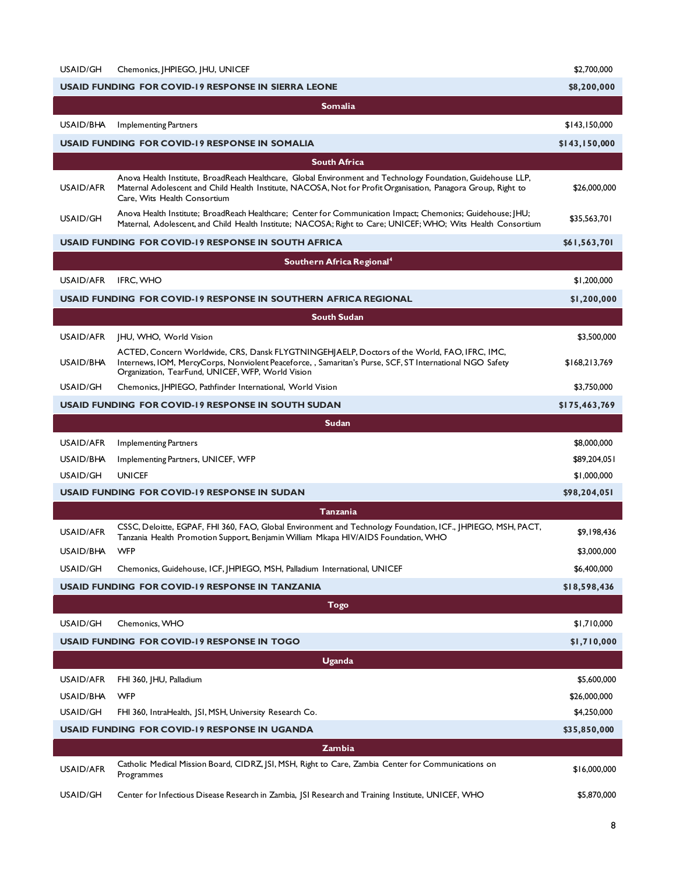| USAID/GH  | Chemonics, HPIEGO, HU, UNICEF                                                                                                                                                                                                                                 | \$2,700,000   |
|-----------|---------------------------------------------------------------------------------------------------------------------------------------------------------------------------------------------------------------------------------------------------------------|---------------|
|           | USAID FUNDING FOR COVID-19 RESPONSE IN SIERRA LEONE                                                                                                                                                                                                           | \$8,200,000   |
|           | <b>Somalia</b>                                                                                                                                                                                                                                                |               |
| USAID/BHA | <b>Implementing Partners</b>                                                                                                                                                                                                                                  | \$143,150,000 |
|           | USAID FUNDING FOR COVID-19 RESPONSE IN SOMALIA                                                                                                                                                                                                                | \$143,150,000 |
|           | <b>South Africa</b>                                                                                                                                                                                                                                           |               |
| USAID/AFR | Anova Health Institute, BroadReach Healthcare, Global Environment and Technology Foundation, Guidehouse LLP,<br>Maternal Adolescent and Child Health Institute, NACOSA, Not for Profit Organisation, Panagora Group, Right to<br>Care, Wits Health Consortium | \$26,000,000  |
| USAID/GH  | Anova Health Institute; BroadReach Healthcare; Center for Communication Impact; Chemonics; Guidehouse; IHU;<br>Maternal, Adolescent, and Child Health Institute; NACOSA; Right to Care; UNICEF; WHO; Wits Health Consortium                                   | \$35,563,701  |
|           | <b>USAID FUNDING FOR COVID-19 RESPONSE IN SOUTH AFRICA</b>                                                                                                                                                                                                    | \$61,563,701  |
|           | Southern Africa Regional <sup>4</sup>                                                                                                                                                                                                                         |               |
| USAID/AFR | <b>IFRC. WHO</b>                                                                                                                                                                                                                                              | \$1,200,000   |
|           | USAID FUNDING  FOR COVID-19 RESPONSE IN SOUTHERN AFRICA REGIONAL                                                                                                                                                                                              | \$1,200,000   |
|           | <b>South Sudan</b>                                                                                                                                                                                                                                            |               |
| USAID/AFR | JHU, WHO, World Vision                                                                                                                                                                                                                                        | \$3,500,000   |
| USAID/BHA | ACTED, Concern Worldwide, CRS, Dansk FLYGTNINGEHJAELP, Doctors of the World, FAO, IFRC, IMC,<br>Internews, IOM, MercyCorps, Nonviolent Peaceforce, , Samaritan's Purse, SCF, ST International NGO Safety<br>Organization, TearFund, UNICEF, WFP, World Vision | \$168,213,769 |
| USAID/GH  | Chemonics, JHPIEGO, Pathfinder International, World Vision                                                                                                                                                                                                    | \$3,750,000   |
|           | USAID FUNDING FOR COVID-19 RESPONSE IN SOUTH SUDAN                                                                                                                                                                                                            | \$175,463,769 |
|           | Sudan                                                                                                                                                                                                                                                         |               |
| USAID/AFR | <b>Implementing Partners</b>                                                                                                                                                                                                                                  | \$8,000,000   |
| USAID/BHA | Implementing Partners, UNICEF, WFP                                                                                                                                                                                                                            | \$89,204,051  |
| USAID/GH  | <b>UNICEF</b>                                                                                                                                                                                                                                                 | \$1,000,000   |
|           | <b>USAID FUNDING FOR COVID-19 RESPONSE IN SUDAN</b>                                                                                                                                                                                                           | \$98,204,051  |
|           | Tanzania                                                                                                                                                                                                                                                      |               |
| USAID/AFR | CSSC, Deloitte, EGPAF, FHI 360, FAO, Global Environment and Technology Foundation, ICF., JHPIEGO, MSH, PACT,<br>Tanzania Health Promotion Support, Benjamin William Mkapa HIV/AIDS Foundation, WHO                                                            | \$9,198,436   |
| USAID/BHA | <b>WFP</b>                                                                                                                                                                                                                                                    | \$3,000,000   |
| USAID/GH  | Chemonics, Guidehouse, ICF, JHPIEGO, MSH, Palladium International, UNICEF                                                                                                                                                                                     | \$6,400,000   |
|           | USAID FUNDING FOR COVID-19 RESPONSE IN TANZANIA                                                                                                                                                                                                               | \$18,598,436  |
|           | <b>Togo</b>                                                                                                                                                                                                                                                   |               |
| USAID/GH  | Chemonics, WHO                                                                                                                                                                                                                                                | \$1,710,000   |
|           | USAID FUNDING FOR COVID-19 RESPONSE IN TOGO                                                                                                                                                                                                                   | \$1,710,000   |
|           | <b>Uganda</b>                                                                                                                                                                                                                                                 |               |
| USAID/AFR | FHI 360, JHU, Palladium                                                                                                                                                                                                                                       | \$5,600,000   |
| USAID/BHA | <b>WFP</b>                                                                                                                                                                                                                                                    | \$26,000,000  |
| USAID/GH  | FHI 360, IntraHealth, JSI, MSH, University Research Co.                                                                                                                                                                                                       | \$4,250,000   |
|           | USAID FUNDING FOR COVID-19 RESPONSE IN UGANDA                                                                                                                                                                                                                 | \$35,850,000  |
|           | <b>Zambia</b>                                                                                                                                                                                                                                                 |               |
| USAID/AFR | Catholic Medical Mission Board, CIDRZ, JSI, MSH, Right to Care, Zambia Center for Communications on<br>Programmes                                                                                                                                             | \$16,000,000  |
| USAID/GH  | Center for Infectious Disease Research in Zambia, JSI Research and Training Institute, UNICEF, WHO                                                                                                                                                            | \$5,870,000   |